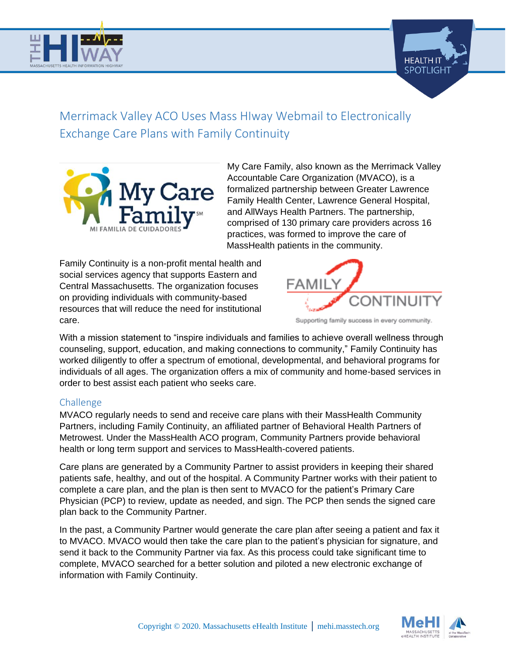



# Merrimack Valley ACO Uses Mass HIway Webmail to Electronically Exchange Care Plans with Family Continuity



My Care Family, also known as the Merrimack Valley Accountable Care Organization (MVACO), is a formalized partnership between Greater Lawrence Family Health Center, Lawrence General Hospital, and AllWays Health Partners. The partnership, comprised of 130 primary care providers across 16 practices, was formed to improve the care of MassHealth patients in the community.

Family Continuity is a non-profit mental health and social services agency that supports Eastern and Central Massachusetts. The organization focuses on providing individuals with community-based resources that will reduce the need for institutional care.



Supporting family success in every community.

With a mission statement to "inspire individuals and families to achieve overall wellness through counseling, support, education, and making connections to community," Family Continuity has worked diligently to offer a spectrum of emotional, developmental, and behavioral programs for individuals of all ages. The organization offers a mix of community and home-based services in order to best assist each patient who seeks care.

### Challenge

MVACO regularly needs to send and receive care plans with their MassHealth Community Partners, including Family Continuity, an affiliated partner of Behavioral Health Partners of Metrowest. Under the MassHealth ACO program, Community Partners provide behavioral health or long term support and services to MassHealth-covered patients.

Care plans are generated by a Community Partner to assist providers in keeping their shared patients safe, healthy, and out of the hospital. A Community Partner works with their patient to complete a care plan, and the plan is then sent to MVACO for the patient's Primary Care Physician (PCP) to review, update as needed, and sign. The PCP then sends the signed care plan back to the Community Partner.

In the past, a Community Partner would generate the care plan after seeing a patient and fax it to MVACO. MVACO would then take the care plan to the patient's physician for signature, and send it back to the Community Partner via fax. As this process could take significant time to complete, MVACO searched for a better solution and piloted a new electronic exchange of information with Family Continuity.

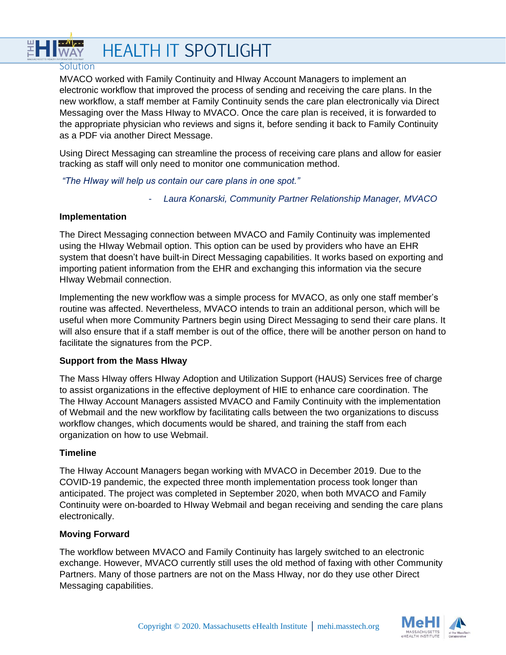# HI WAY **HEALTH IT SPOTLIGHT**

#### **Solution**

MVACO worked with Family Continuity and HIway Account Managers to implement an electronic workflow that improved the process of sending and receiving the care plans. In the new workflow, a staff member at Family Continuity sends the care plan electronically via Direct Messaging over the Mass HIway to MVACO. Once the care plan is received, it is forwarded to the appropriate physician who reviews and signs it, before sending it back to Family Continuity as a PDF via another Direct Message.

Using Direct Messaging can streamline the process of receiving care plans and allow for easier tracking as staff will only need to monitor one communication method.

*"The HIway will help us contain our care plans in one spot."*

- *Laura Konarski, Community Partner Relationship Manager, MVACO*

#### **Implementation**

The Direct Messaging connection between MVACO and Family Continuity was implemented using the HIway Webmail option. This option can be used by providers who have an EHR system that doesn't have built-in Direct Messaging capabilities. It works based on exporting and importing patient information from the EHR and exchanging this information via the secure HIway Webmail connection.

Implementing the new workflow was a simple process for MVACO, as only one staff member's routine was affected. Nevertheless, MVACO intends to train an additional person, which will be useful when more Community Partners begin using Direct Messaging to send their care plans. It will also ensure that if a staff member is out of the office, there will be another person on hand to facilitate the signatures from the PCP.

#### **Support from the Mass HIway**

The Mass HIway offers HIway Adoption and Utilization Support (HAUS) Services free of charge to assist organizations in the effective deployment of HIE to enhance care coordination. The The HIway Account Managers assisted MVACO and Family Continuity with the implementation of Webmail and the new workflow by facilitating calls between the two organizations to discuss workflow changes, which documents would be shared, and training the staff from each organization on how to use Webmail.

#### **Timeline**

The HIway Account Managers began working with MVACO in December 2019. Due to the COVID-19 pandemic, the expected three month implementation process took longer than anticipated. The project was completed in September 2020, when both MVACO and Family Continuity were on-boarded to HIway Webmail and began receiving and sending the care plans electronically.

#### **Moving Forward**

The workflow between MVACO and Family Continuity has largely switched to an electronic exchange. However, MVACO currently still uses the old method of faxing with other Community Partners. Many of those partners are not on the Mass HIway, nor do they use other Direct Messaging capabilities.